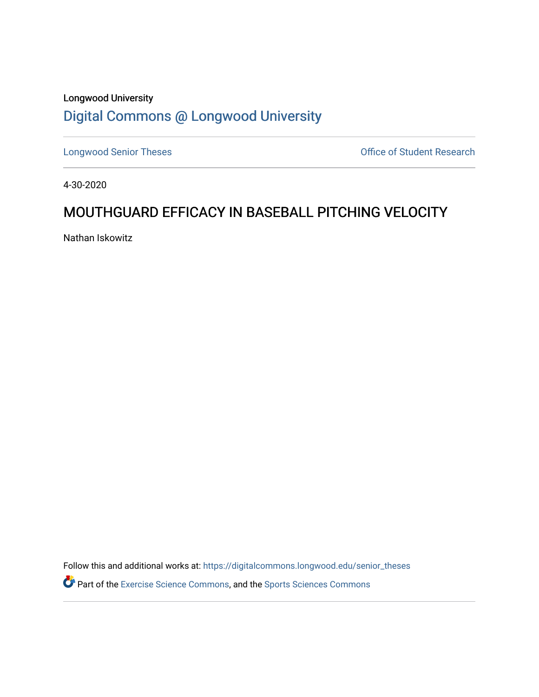# Longwood University [Digital Commons @ Longwood University](https://digitalcommons.longwood.edu/)

[Longwood Senior Theses](https://digitalcommons.longwood.edu/senior_theses) **Constanting Constanting Constanting Constanting Constanting Constanting Constanting Constanting Constanting Constanting Constanting Constanting Constanting Constanting Constanting Constanting Consta** 

4-30-2020

## MOUTHGUARD EFFICACY IN BASEBALL PITCHING VELOCITY

Nathan Iskowitz

Follow this and additional works at: [https://digitalcommons.longwood.edu/senior\\_theses](https://digitalcommons.longwood.edu/senior_theses?utm_source=digitalcommons.longwood.edu%2Fsenior_theses%2F4&utm_medium=PDF&utm_campaign=PDFCoverPages) 

**P** Part of the [Exercise Science Commons](http://network.bepress.com/hgg/discipline/1091?utm_source=digitalcommons.longwood.edu%2Fsenior_theses%2F4&utm_medium=PDF&utm_campaign=PDFCoverPages), and the Sports Sciences Commons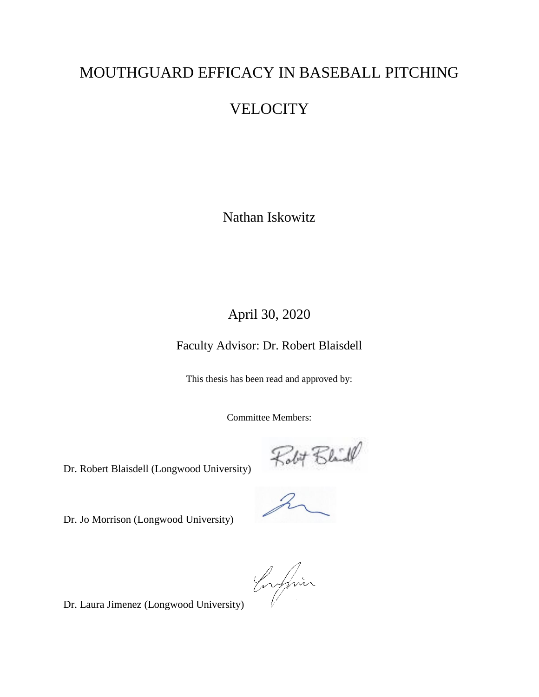# MOUTHGUARD EFFICACY IN BASEBALL PITCHING

# **VELOCITY**

Nathan Iskowitz

## April 30, 2020

Faculty Advisor: Dr. Robert Blaisdell

This thesis has been read and approved by:

Committee Members:

Dr. Robert Blaisdell (Longwood University)

Robit Blade

Dr. Jo Morrison (Longwood University)

Infini

Dr. Laura Jimenez (Longwood University)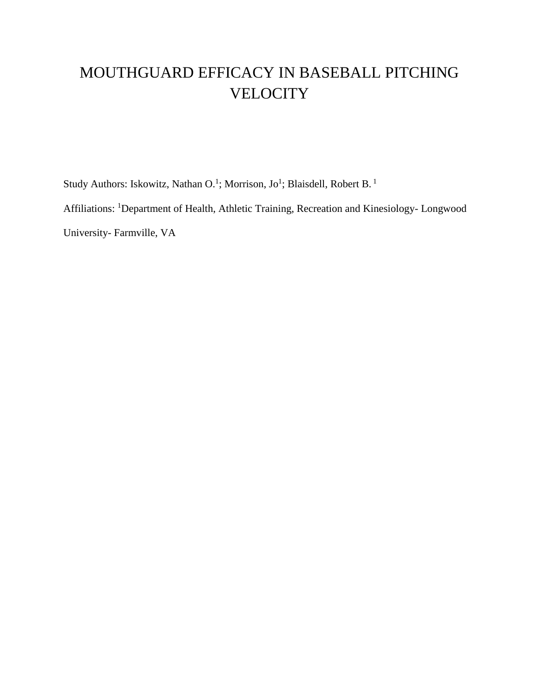# MOUTHGUARD EFFICACY IN BASEBALL PITCHING **VELOCITY**

Study Authors: Iskowitz, Nathan O.<sup>1</sup>; Morrison, Jo<sup>1</sup>; Blaisdell, Robert B.<sup>1</sup>

Affiliations: <sup>1</sup>Department of Health, Athletic Training, Recreation and Kinesiology- Longwood

University- Farmville, VA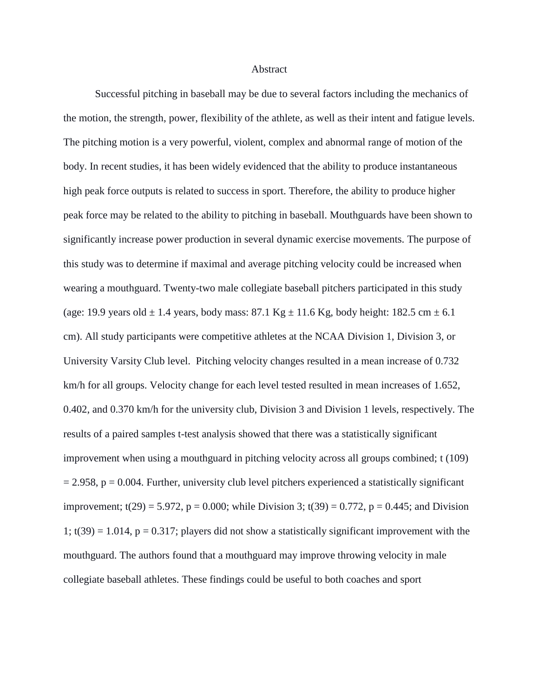#### Abstract

Successful pitching in baseball may be due to several factors including the mechanics of the motion, the strength, power, flexibility of the athlete, as well as their intent and fatigue levels. The pitching motion is a very powerful, violent, complex and abnormal range of motion of the body. In recent studies, it has been widely evidenced that the ability to produce instantaneous high peak force outputs is related to success in sport. Therefore, the ability to produce higher peak force may be related to the ability to pitching in baseball. Mouthguards have been shown to significantly increase power production in several dynamic exercise movements. The purpose of this study was to determine if maximal and average pitching velocity could be increased when wearing a mouthguard. Twenty-two male collegiate baseball pitchers participated in this study (age: 19.9 years old  $\pm$  1.4 years, body mass: 87.1 Kg  $\pm$  11.6 Kg, body height: 182.5 cm  $\pm$  6.1 cm). All study participants were competitive athletes at the NCAA Division 1, Division 3, or University Varsity Club level. Pitching velocity changes resulted in a mean increase of 0.732 km/h for all groups. Velocity change for each level tested resulted in mean increases of 1.652, 0.402, and 0.370 km/h for the university club, Division 3 and Division 1 levels, respectively. The results of a paired samples t-test analysis showed that there was a statistically significant improvement when using a mouthguard in pitching velocity across all groups combined; t (109)  $= 2.958$ ,  $p = 0.004$ . Further, university club level pitchers experienced a statistically significant improvement; t(29) = 5.972, p = 0.000; while Division 3; t(39) = 0.772, p = 0.445; and Division 1;  $t(39) = 1.014$ ,  $p = 0.317$ ; players did not show a statistically significant improvement with the mouthguard. The authors found that a mouthguard may improve throwing velocity in male collegiate baseball athletes. These findings could be useful to both coaches and sport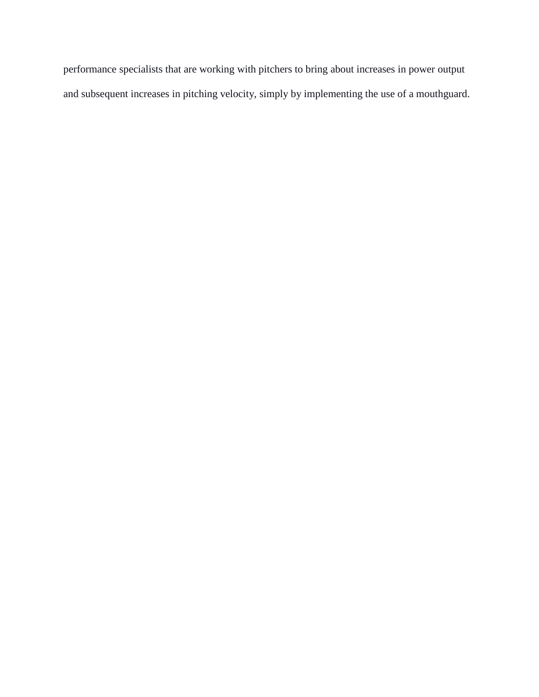performance specialists that are working with pitchers to bring about increases in power output and subsequent increases in pitching velocity, simply by implementing the use of a mouthguard.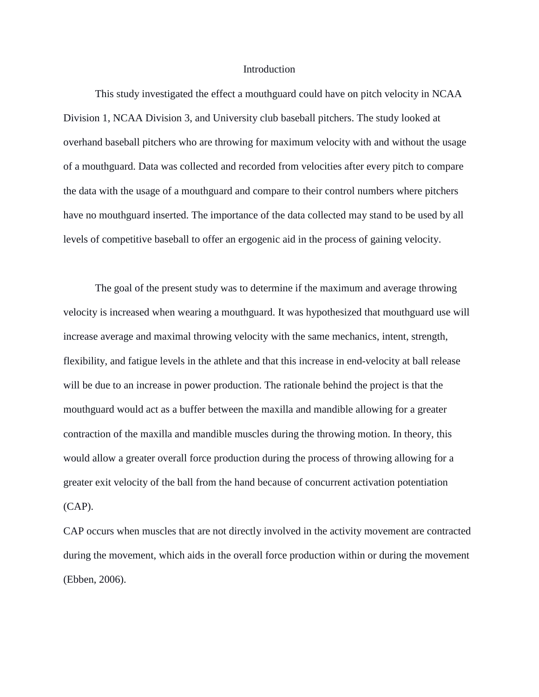#### Introduction

This study investigated the effect a mouthguard could have on pitch velocity in NCAA Division 1, NCAA Division 3, and University club baseball pitchers. The study looked at overhand baseball pitchers who are throwing for maximum velocity with and without the usage of a mouthguard. Data was collected and recorded from velocities after every pitch to compare the data with the usage of a mouthguard and compare to their control numbers where pitchers have no mouthguard inserted. The importance of the data collected may stand to be used by all levels of competitive baseball to offer an ergogenic aid in the process of gaining velocity.

The goal of the present study was to determine if the maximum and average throwing velocity is increased when wearing a mouthguard. It was hypothesized that mouthguard use will increase average and maximal throwing velocity with the same mechanics, intent, strength, flexibility, and fatigue levels in the athlete and that this increase in end-velocity at ball release will be due to an increase in power production. The rationale behind the project is that the mouthguard would act as a buffer between the maxilla and mandible allowing for a greater contraction of the maxilla and mandible muscles during the throwing motion. In theory, this would allow a greater overall force production during the process of throwing allowing for a greater exit velocity of the ball from the hand because of concurrent activation potentiation (CAP).

CAP occurs when muscles that are not directly involved in the activity movement are contracted during the movement, which aids in the overall force production within or during the movement (Ebben, 2006).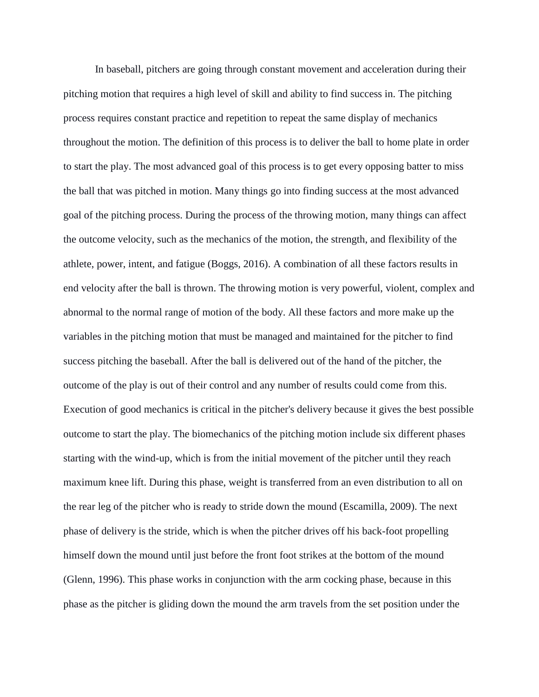In baseball, pitchers are going through constant movement and acceleration during their pitching motion that requires a high level of skill and ability to find success in. The pitching process requires constant practice and repetition to repeat the same display of mechanics throughout the motion. The definition of this process is to deliver the ball to home plate in order to start the play. The most advanced goal of this process is to get every opposing batter to miss the ball that was pitched in motion. Many things go into finding success at the most advanced goal of the pitching process. During the process of the throwing motion, many things can affect the outcome velocity, such as the mechanics of the motion, the strength, and flexibility of the athlete, power, intent, and fatigue (Boggs, 2016). A combination of all these factors results in end velocity after the ball is thrown. The throwing motion is very powerful, violent, complex and abnormal to the normal range of motion of the body. All these factors and more make up the variables in the pitching motion that must be managed and maintained for the pitcher to find success pitching the baseball. After the ball is delivered out of the hand of the pitcher, the outcome of the play is out of their control and any number of results could come from this. Execution of good mechanics is critical in the pitcher's delivery because it gives the best possible outcome to start the play. The biomechanics of the pitching motion include six different phases starting with the wind-up, which is from the initial movement of the pitcher until they reach maximum knee lift. During this phase, weight is transferred from an even distribution to all on the rear leg of the pitcher who is ready to stride down the mound (Escamilla, 2009). The next phase of delivery is the stride, which is when the pitcher drives off his back-foot propelling himself down the mound until just before the front foot strikes at the bottom of the mound (Glenn, 1996). This phase works in conjunction with the arm cocking phase, because in this phase as the pitcher is gliding down the mound the arm travels from the set position under the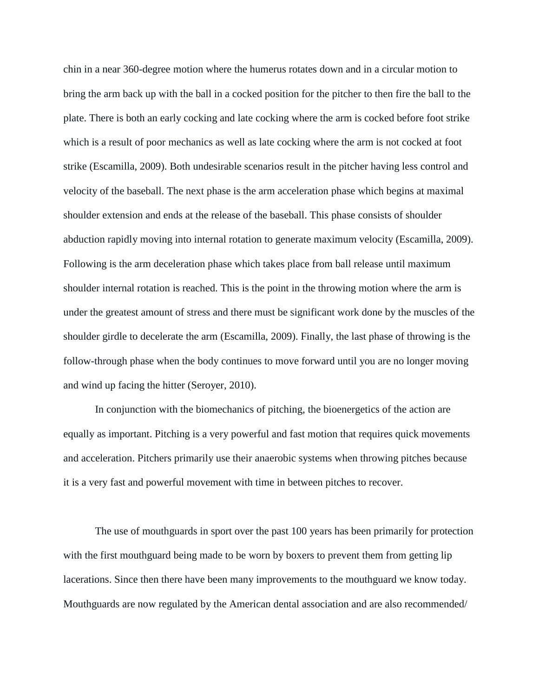chin in a near 360-degree motion where the humerus rotates down and in a circular motion to bring the arm back up with the ball in a cocked position for the pitcher to then fire the ball to the plate. There is both an early cocking and late cocking where the arm is cocked before foot strike which is a result of poor mechanics as well as late cocking where the arm is not cocked at foot strike (Escamilla, 2009). Both undesirable scenarios result in the pitcher having less control and velocity of the baseball. The next phase is the arm acceleration phase which begins at maximal shoulder extension and ends at the release of the baseball. This phase consists of shoulder abduction rapidly moving into internal rotation to generate maximum velocity (Escamilla, 2009). Following is the arm deceleration phase which takes place from ball release until maximum shoulder internal rotation is reached. This is the point in the throwing motion where the arm is under the greatest amount of stress and there must be significant work done by the muscles of the shoulder girdle to decelerate the arm (Escamilla, 2009). Finally, the last phase of throwing is the follow-through phase when the body continues to move forward until you are no longer moving and wind up facing the hitter (Seroyer, 2010).

In conjunction with the biomechanics of pitching, the bioenergetics of the action are equally as important. Pitching is a very powerful and fast motion that requires quick movements and acceleration. Pitchers primarily use their anaerobic systems when throwing pitches because it is a very fast and powerful movement with time in between pitches to recover.

The use of mouthguards in sport over the past 100 years has been primarily for protection with the first mouthguard being made to be worn by boxers to prevent them from getting lip lacerations. Since then there have been many improvements to the mouthguard we know today. Mouthguards are now regulated by the American dental association and are also recommended/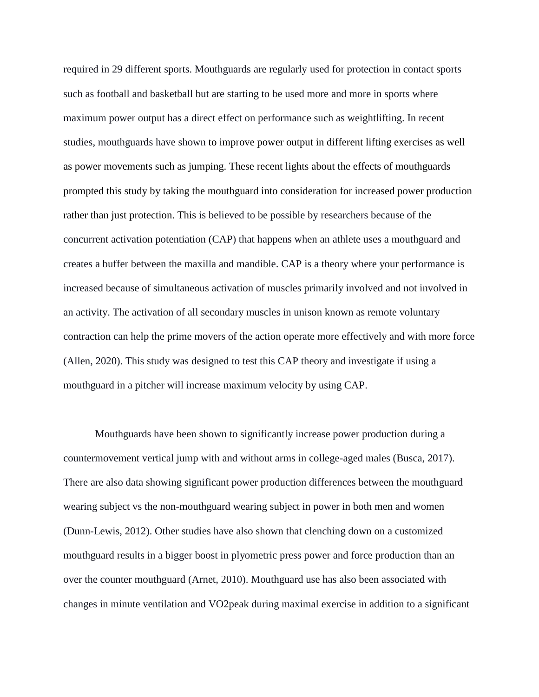required in 29 different sports. Mouthguards are regularly used for protection in contact sports such as football and basketball but are starting to be used more and more in sports where maximum power output has a direct effect on performance such as weightlifting. In recent studies, mouthguards have shown to improve power output in different lifting exercises as well as power movements such as jumping. These recent lights about the effects of mouthguards prompted this study by taking the mouthguard into consideration for increased power production rather than just protection. This is believed to be possible by researchers because of the concurrent activation potentiation (CAP) that happens when an athlete uses a mouthguard and creates a buffer between the maxilla and mandible. CAP is a theory where your performance is increased because of simultaneous activation of muscles primarily involved and not involved in an activity. The activation of all secondary muscles in unison known as remote voluntary contraction can help the prime movers of the action operate more effectively and with more force (Allen, 2020). This study was designed to test this CAP theory and investigate if using a mouthguard in a pitcher will increase maximum velocity by using CAP.

Mouthguards have been shown to significantly increase power production during a countermovement vertical jump with and without arms in college-aged males (Busca, 2017). There are also data showing significant power production differences between the mouthguard wearing subject vs the non-mouthguard wearing subject in power in both men and women (Dunn-Lewis, 2012). Other studies have also shown that clenching down on a customized mouthguard results in a bigger boost in plyometric press power and force production than an over the counter mouthguard (Arnet, 2010). Mouthguard use has also been associated with changes in minute ventilation and VO2peak during maximal exercise in addition to a significant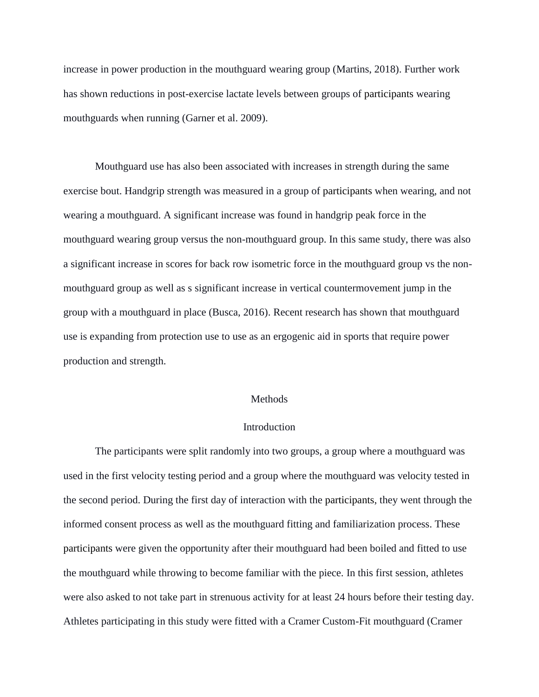increase in power production in the mouthguard wearing group (Martins, 2018). Further work has shown reductions in post-exercise lactate levels between groups of participants wearing mouthguards when running (Garner et al. 2009).

Mouthguard use has also been associated with increases in strength during the same exercise bout. Handgrip strength was measured in a group of participants when wearing, and not wearing a mouthguard. A significant increase was found in handgrip peak force in the mouthguard wearing group versus the non-mouthguard group. In this same study, there was also a significant increase in scores for back row isometric force in the mouthguard group vs the nonmouthguard group as well as s significant increase in vertical countermovement jump in the group with a mouthguard in place (Busca, 2016). Recent research has shown that mouthguard use is expanding from protection use to use as an ergogenic aid in sports that require power production and strength.

#### Methods

### Introduction

The participants were split randomly into two groups, a group where a mouthguard was used in the first velocity testing period and a group where the mouthguard was velocity tested in the second period. During the first day of interaction with the participants, they went through the informed consent process as well as the mouthguard fitting and familiarization process. These participants were given the opportunity after their mouthguard had been boiled and fitted to use the mouthguard while throwing to become familiar with the piece. In this first session, athletes were also asked to not take part in strenuous activity for at least 24 hours before their testing day. Athletes participating in this study were fitted with a Cramer Custom-Fit mouthguard (Cramer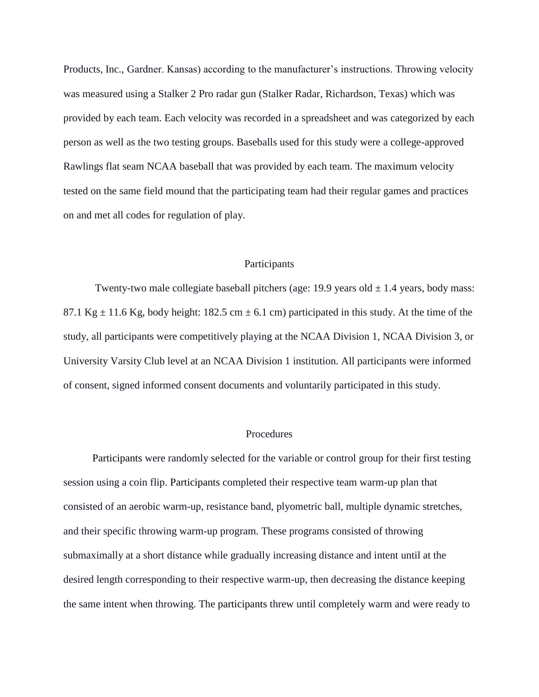Products, Inc., Gardner. Kansas) according to the manufacturer's instructions. Throwing velocity was measured using a Stalker 2 Pro radar gun (Stalker Radar, Richardson, Texas) which was provided by each team. Each velocity was recorded in a spreadsheet and was categorized by each person as well as the two testing groups. Baseballs used for this study were a college-approved Rawlings flat seam NCAA baseball that was provided by each team. The maximum velocity tested on the same field mound that the participating team had their regular games and practices on and met all codes for regulation of play.

### Participants

Twenty-two male collegiate baseball pitchers (age: 19.9 years old  $\pm$  1.4 years, body mass: 87.1 Kg  $\pm$  11.6 Kg, body height: 182.5 cm  $\pm$  6.1 cm) participated in this study. At the time of the study, all participants were competitively playing at the NCAA Division 1, NCAA Division 3, or University Varsity Club level at an NCAA Division 1 institution. All participants were informed of consent, signed informed consent documents and voluntarily participated in this study.

### **Procedures**

Participants were randomly selected for the variable or control group for their first testing session using a coin flip. Participants completed their respective team warm-up plan that consisted of an aerobic warm-up, resistance band, plyometric ball, multiple dynamic stretches, and their specific throwing warm-up program. These programs consisted of throwing submaximally at a short distance while gradually increasing distance and intent until at the desired length corresponding to their respective warm-up, then decreasing the distance keeping the same intent when throwing. The participants threw until completely warm and were ready to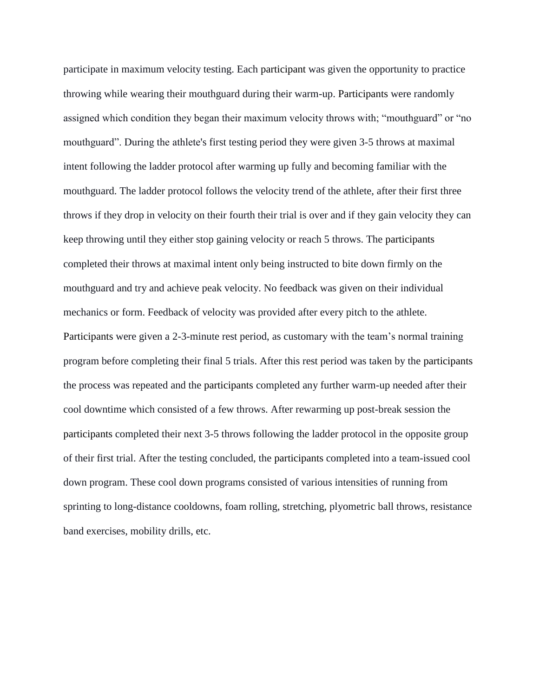participate in maximum velocity testing. Each participant was given the opportunity to practice throwing while wearing their mouthguard during their warm-up. Participants were randomly assigned which condition they began their maximum velocity throws with; "mouthguard" or "no mouthguard". During the athlete's first testing period they were given 3-5 throws at maximal intent following the ladder protocol after warming up fully and becoming familiar with the mouthguard. The ladder protocol follows the velocity trend of the athlete, after their first three throws if they drop in velocity on their fourth their trial is over and if they gain velocity they can keep throwing until they either stop gaining velocity or reach 5 throws. The participants completed their throws at maximal intent only being instructed to bite down firmly on the mouthguard and try and achieve peak velocity. No feedback was given on their individual mechanics or form. Feedback of velocity was provided after every pitch to the athlete. Participants were given a 2-3-minute rest period, as customary with the team's normal training program before completing their final 5 trials. After this rest period was taken by the participants the process was repeated and the participants completed any further warm-up needed after their cool downtime which consisted of a few throws. After rewarming up post-break session the participants completed their next 3-5 throws following the ladder protocol in the opposite group of their first trial. After the testing concluded, the participants completed into a team-issued cool down program. These cool down programs consisted of various intensities of running from sprinting to long-distance cooldowns, foam rolling, stretching, plyometric ball throws, resistance band exercises, mobility drills, etc.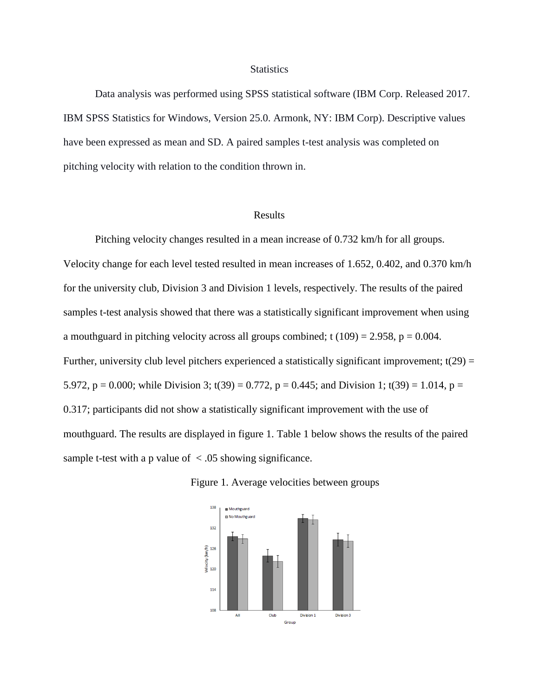#### **Statistics**

Data analysis was performed using SPSS statistical software (IBM Corp. Released 2017. IBM SPSS Statistics for Windows, Version 25.0. Armonk, NY: IBM Corp). Descriptive values have been expressed as mean and SD. A paired samples t-test analysis was completed on pitching velocity with relation to the condition thrown in.

### Results

Pitching velocity changes resulted in a mean increase of 0.732 km/h for all groups. Velocity change for each level tested resulted in mean increases of 1.652, 0.402, and 0.370 km/h for the university club, Division 3 and Division 1 levels, respectively. The results of the paired samples t-test analysis showed that there was a statistically significant improvement when using a mouthguard in pitching velocity across all groups combined; t  $(109) = 2.958$ ,  $p = 0.004$ . Further, university club level pitchers experienced a statistically significant improvement;  $t(29) =$ 5.972, p = 0.000; while Division 3; t(39) = 0.772, p = 0.445; and Division 1; t(39) = 1.014, p = 0.317; participants did not show a statistically significant improvement with the use of mouthguard. The results are displayed in figure 1. Table 1 below shows the results of the paired sample t-test with a p value of  $\langle .05 \rangle$  showing significance.



Figure 1. Average velocities between groups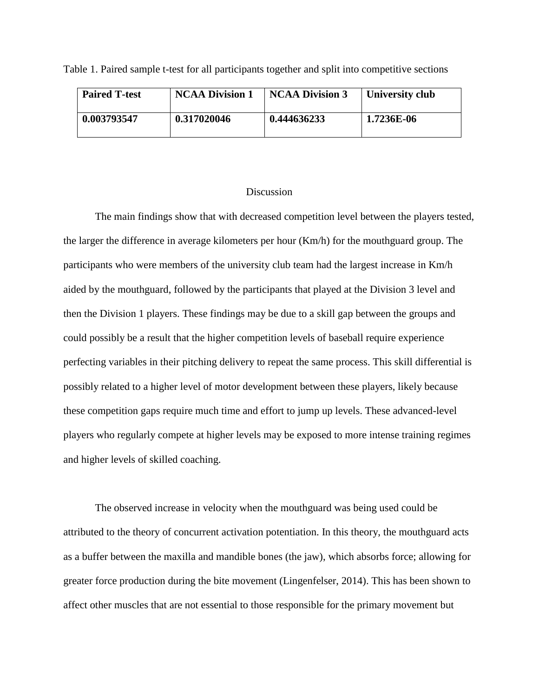| <b>Paired T-test</b> | <b>NCAA Division 1</b> | <b>NCAA Division 3</b> | University club |
|----------------------|------------------------|------------------------|-----------------|
| 0.003793547          | 0.317020046            | 0.444636233            | 1.7236E-06      |

Table 1. Paired sample t-test for all participants together and split into competitive sections

### **Discussion**

The main findings show that with decreased competition level between the players tested, the larger the difference in average kilometers per hour (Km/h) for the mouthguard group. The participants who were members of the university club team had the largest increase in Km/h aided by the mouthguard, followed by the participants that played at the Division 3 level and then the Division 1 players. These findings may be due to a skill gap between the groups and could possibly be a result that the higher competition levels of baseball require experience perfecting variables in their pitching delivery to repeat the same process. This skill differential is possibly related to a higher level of motor development between these players, likely because these competition gaps require much time and effort to jump up levels. These advanced-level players who regularly compete at higher levels may be exposed to more intense training regimes and higher levels of skilled coaching.

The observed increase in velocity when the mouthguard was being used could be attributed to the theory of concurrent activation potentiation. In this theory, the mouthguard acts as a buffer between the maxilla and mandible bones (the jaw), which absorbs force; allowing for greater force production during the bite movement (Lingenfelser, 2014). This has been shown to affect other muscles that are not essential to those responsible for the primary movement but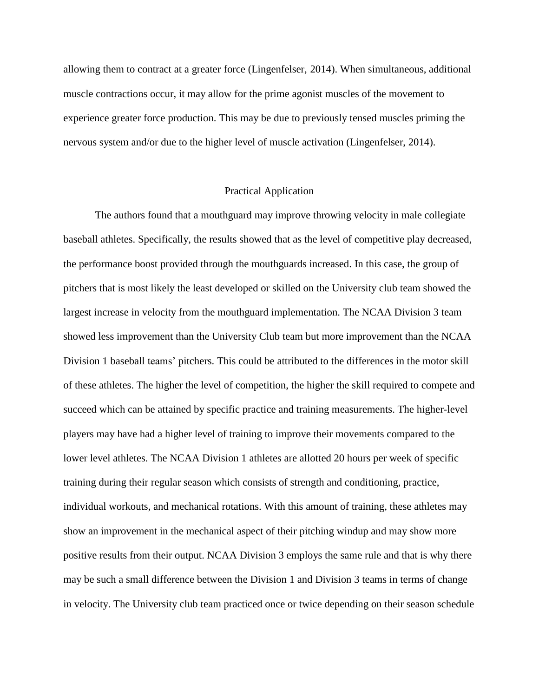allowing them to contract at a greater force (Lingenfelser, 2014). When simultaneous, additional muscle contractions occur, it may allow for the prime agonist muscles of the movement to experience greater force production. This may be due to previously tensed muscles priming the nervous system and/or due to the higher level of muscle activation (Lingenfelser, 2014).

### Practical Application

The authors found that a mouthguard may improve throwing velocity in male collegiate baseball athletes. Specifically, the results showed that as the level of competitive play decreased, the performance boost provided through the mouthguards increased. In this case, the group of pitchers that is most likely the least developed or skilled on the University club team showed the largest increase in velocity from the mouthguard implementation. The NCAA Division 3 team showed less improvement than the University Club team but more improvement than the NCAA Division 1 baseball teams' pitchers. This could be attributed to the differences in the motor skill of these athletes. The higher the level of competition, the higher the skill required to compete and succeed which can be attained by specific practice and training measurements. The higher-level players may have had a higher level of training to improve their movements compared to the lower level athletes. The NCAA Division 1 athletes are allotted 20 hours per week of specific training during their regular season which consists of strength and conditioning, practice, individual workouts, and mechanical rotations. With this amount of training, these athletes may show an improvement in the mechanical aspect of their pitching windup and may show more positive results from their output. NCAA Division 3 employs the same rule and that is why there may be such a small difference between the Division 1 and Division 3 teams in terms of change in velocity. The University club team practiced once or twice depending on their season schedule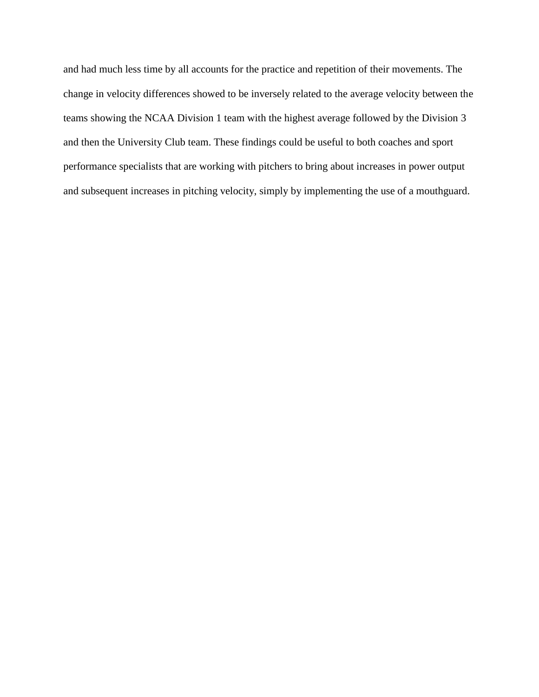and had much less time by all accounts for the practice and repetition of their movements. The change in velocity differences showed to be inversely related to the average velocity between the teams showing the NCAA Division 1 team with the highest average followed by the Division 3 and then the University Club team. These findings could be useful to both coaches and sport performance specialists that are working with pitchers to bring about increases in power output and subsequent increases in pitching velocity, simply by implementing the use of a mouthguard.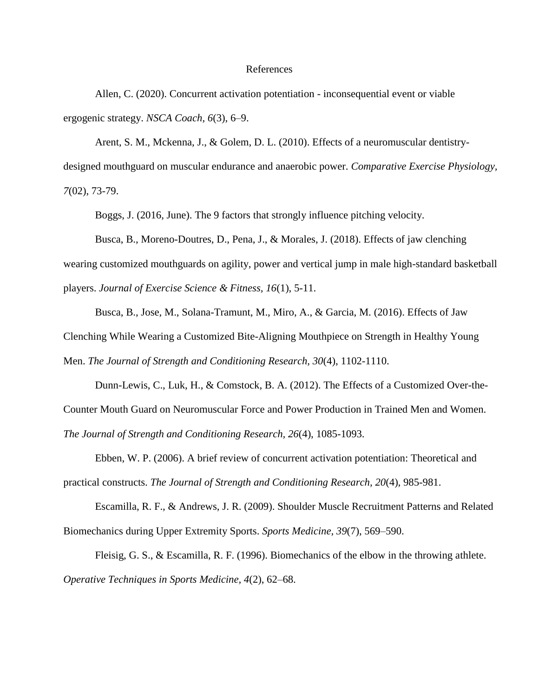#### References

Allen, C. (2020). Concurrent activation potentiation - inconsequential event or viable ergogenic strategy. *NSCA Coach*, *6*(3), 6–9.

Arent, S. M., Mckenna, J., & Golem, D. L. (2010). Effects of a neuromuscular dentistrydesigned mouthguard on muscular endurance and anaerobic power. *Comparative Exercise Physiology, 7*(02), 73-79.

Boggs, J. (2016, June). The 9 factors that strongly influence pitching velocity.

Busca, B., Moreno-Doutres, D., Pena, J., & Morales, J. (2018). Effects of jaw clenching wearing customized mouthguards on agility, power and vertical jump in male high-standard basketball players. *Journal of Exercise Science & Fitness, 16*(1), 5-11.

Busca, B., Jose, M., Solana-Tramunt, M., Miro, A., & Garcia, M. (2016). Effects of Jaw

Clenching While Wearing a Customized Bite-Aligning Mouthpiece on Strength in Healthy Young Men. *The Journal of Strength and Conditioning Research, 30*(4), 1102-1110.

Dunn-Lewis, C., Luk, H., & Comstock, B. A. (2012). The Effects of a Customized Over-the-

Counter Mouth Guard on Neuromuscular Force and Power Production in Trained Men and Women.

*The Journal of Strength and Conditioning Research, 26*(4), 1085-1093.

Ebben, W. P. (2006). A brief review of concurrent activation potentiation: Theoretical and practical constructs. *The Journal of Strength and Conditioning Research, 20*(4), 985-981.

Escamilla, R. F., & Andrews, J. R. (2009). Shoulder Muscle Recruitment Patterns and Related Biomechanics during Upper Extremity Sports. *Sports Medicine, 39*(7), 569–590.

Fleisig, G. S., & Escamilla, R. F. (1996). Biomechanics of the elbow in the throwing athlete. *Operative Techniques in Sports Medicine, 4*(2), 62–68.